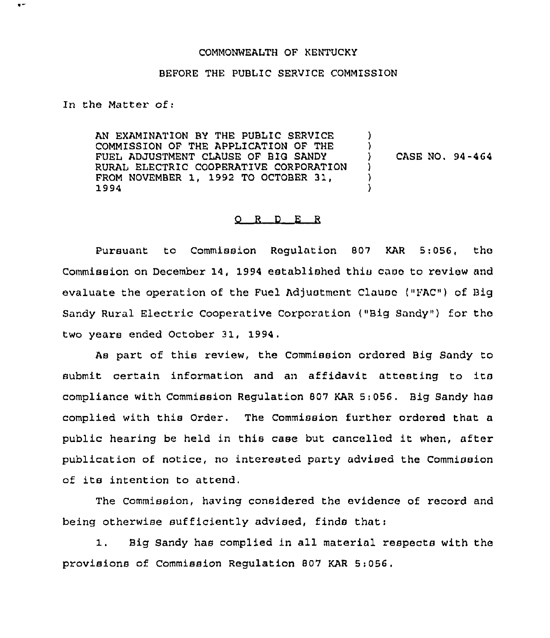## COMMONWEALTH OF KENTUCKY

## BEFORE THE PUBLIC SERVICE COMMISSION

In the Matter of:

 $\blacksquare$ 

AN EXAMINATION BY THE PUBLIC SERVICE COMMISSION OF THE APPLICATION OF THE FUEL ADJUSTMENT CLAUSE OF BIG SANDY RURAL ELECTRIC COOPERATIVE CORPORATION FROM NOVEMBER 1, 1992 TO OCTOBER 31, 1994 ) )<br>) ) CASE NO. 94-464 ) ) )

## O R D E R

Pursuant to Commission Regulation 807 KAR 5; 056, the Commission on December 14, 1994 established this case to review and evaluate the operation of the Fuel Adjustment Clause ("FAC") of Big Sandy Rural Electric Cooperative Corporation ("Big Sandy") for the two yeaxs ended October 31, 1994,

As part of this review, the Commission ordered Big Sandy to submit certain information and an affidavit attesting to its compliance with Commission Regulation 807 KAR 5;056. Big Sandy has complied with this Order. The Commission further. ordered that a public hearing be held in this case but cancelled it when, after publication of notice, no interested party advised the Commission of its intention to attend,

The Commission, having considered the evidence of record and being otherwise sufficiently advised, finds that:

1. Big Sandy has complied in all material respects with the provisions of Commission Regulation 807 KAR 5:056.